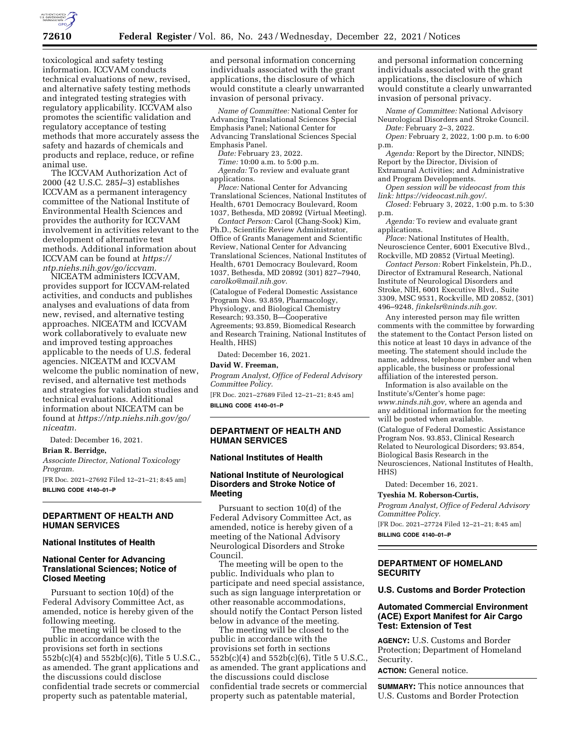

toxicological and safety testing information. ICCVAM conducts technical evaluations of new, revised, and alternative safety testing methods and integrated testing strategies with regulatory applicability. ICCVAM also promotes the scientific validation and regulatory acceptance of testing methods that more accurately assess the safety and hazards of chemicals and products and replace, reduce, or refine animal use.

The ICCVAM Authorization Act of 2000 (42 U.S.C. 285*l*–3) establishes ICCVAM as a permanent interagency committee of the National Institute of Environmental Health Sciences and provides the authority for ICCVAM involvement in activities relevant to the development of alternative test methods. Additional information about ICCVAM can be found at *[https://](https://ntp.niehs.nih.gov/go/iccvam) [ntp.niehs.nih.gov/go/iccvam.](https://ntp.niehs.nih.gov/go/iccvam)* 

NICEATM administers ICCVAM, provides support for ICCVAM-related activities, and conducts and publishes analyses and evaluations of data from new, revised, and alternative testing approaches. NICEATM and ICCVAM work collaboratively to evaluate new and improved testing approaches applicable to the needs of U.S. federal agencies. NICEATM and ICCVAM welcome the public nomination of new, revised, and alternative test methods and strategies for validation studies and technical evaluations. Additional information about NICEATM can be found at *[https://ntp.niehs.nih.gov/go/](https://ntp.niehs.nih.gov/go/niceatm)  [niceatm.](https://ntp.niehs.nih.gov/go/niceatm)* 

Dated: December 16, 2021.

#### **Brian R. Berridge,**

*Associate Director, National Toxicology Program.* 

[FR Doc. 2021–27692 Filed 12–21–21; 8:45 am] **BILLING CODE 4140–01–P** 

#### **DEPARTMENT OF HEALTH AND HUMAN SERVICES**

### **National Institutes of Health**

#### **National Center for Advancing Translational Sciences; Notice of Closed Meeting**

Pursuant to section 10(d) of the Federal Advisory Committee Act, as amended, notice is hereby given of the following meeting.

The meeting will be closed to the public in accordance with the provisions set forth in sections 552b(c)(4) and 552b(c)(6), Title 5 U.S.C., as amended. The grant applications and the discussions could disclose confidential trade secrets or commercial property such as patentable material,

and personal information concerning individuals associated with the grant applications, the disclosure of which would constitute a clearly unwarranted invasion of personal privacy.

*Name of Committee:* National Center for Advancing Translational Sciences Special Emphasis Panel; National Center for Advancing Translational Sciences Special Emphasis Panel.

*Date:* February 23, 2022.

*Time:* 10:00 a.m. to 5:00 p.m. *Agenda:* To review and evaluate grant applications.

*Place:* National Center for Advancing Translational Sciences, National Institutes of Health, 6701 Democracy Boulevard, Room 1037, Bethesda, MD 20892 (Virtual Meeting).

*Contact Person:* Carol (Chang-Sook) Kim, Ph.D., Scientific Review Administrator, Office of Grants Management and Scientific Review, National Center for Advancing Translational Sciences, National Institutes of Health, 6701 Democracy Boulevard, Room 1037, Bethesda, MD 20892 (301) 827–7940, *[carolko@mail.nih.gov](mailto:carolko@mail.nih.gov)*.

(Catalogue of Federal Domestic Assistance Program Nos. 93.859, Pharmacology, Physiology, and Biological Chemistry Research; 93.350, B—Cooperative Agreements; 93.859, Biomedical Research and Research Training, National Institutes of Health, HHS)

Dated: December 16, 2021.

#### **David W. Freeman,**

*Program Analyst, Office of Federal Advisory Committee Policy.* 

[FR Doc. 2021–27689 Filed 12–21–21; 8:45 am] **BILLING CODE 4140–01–P** 

## **DEPARTMENT OF HEALTH AND HUMAN SERVICES**

#### **National Institutes of Health**

### **National Institute of Neurological Disorders and Stroke Notice of Meeting**

Pursuant to section 10(d) of the Federal Advisory Committee Act, as amended, notice is hereby given of a meeting of the National Advisory Neurological Disorders and Stroke Council.

The meeting will be open to the public. Individuals who plan to participate and need special assistance, such as sign language interpretation or other reasonable accommodations, should notify the Contact Person listed below in advance of the meeting.

The meeting will be closed to the public in accordance with the provisions set forth in sections 552b(c)(4) and 552b(c)(6), Title 5 U.S.C., as amended. The grant applications and the discussions could disclose confidential trade secrets or commercial property such as patentable material,

and personal information concerning individuals associated with the grant applications, the disclosure of which would constitute a clearly unwarranted invasion of personal privacy.

*Name of Committee:* National Advisory Neurological Disorders and Stroke Council. *Date:* February 2–3, 2022.

*Open:* February 2, 2022, 1:00 p.m. to 6:00 p.m.

*Agenda:* Report by the Director, NINDS; Report by the Director, Division of Extramural Activities; and Administrative and Program Developments.

*Open session will be videocast from this link: <https://videocast.nih.gov/>*.

*Closed:* February 3, 2022, 1:00 p.m. to 5:30 p.m.

*Agenda:* To review and evaluate grant applications.

*Place:* National Institutes of Health, Neuroscience Center, 6001 Executive Blvd., Rockville, MD 20852 (Virtual Meeting).

*Contact Person:* Robert Finkelstein, Ph.D., Director of Extramural Research, National Institute of Neurological Disorders and Stroke, NIH, 6001 Executive Blvd., Suite 3309, MSC 9531, Rockville, MD 20852, (301) 496–9248, *[finkelsr@ninds.nih.gov](mailto:finkelsr@ninds.nih.gov)*.

Any interested person may file written comments with the committee by forwarding the statement to the Contact Person listed on this notice at least 10 days in advance of the meeting. The statement should include the name, address, telephone number and when applicable, the business or professional affiliation of the interested person.

Information is also available on the Institute's/Center's home page: *[www.ninds.nih.gov,](http://www.ninds.nih.gov)* where an agenda and any additional information for the meeting will be posted when available. (Catalogue of Federal Domestic Assistance Program Nos. 93.853, Clinical Research Related to Neurological Disorders; 93.854, Biological Basis Research in the Neurosciences, National Institutes of Health, HHS)

Dated: December 16, 2021.

# **Tyeshia M. Roberson-Curtis,**

*Program Analyst, Office of Federal Advisory Committee Policy.* 

[FR Doc. 2021–27724 Filed 12–21–21; 8:45 am] **BILLING CODE 4140–01–P** 

## **DEPARTMENT OF HOMELAND SECURITY**

### **U.S. Customs and Border Protection**

## **Automated Commercial Environment (ACE) Export Manifest for Air Cargo Test: Extension of Test**

**AGENCY:** U.S. Customs and Border Protection; Department of Homeland Security.

**ACTION:** General notice.

**SUMMARY:** This notice announces that U.S. Customs and Border Protection